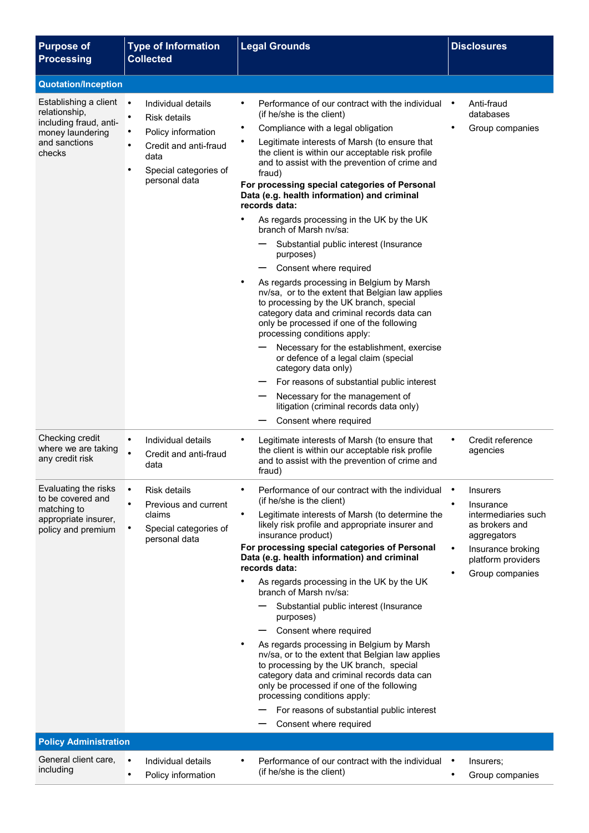| <b>Purpose of</b><br><b>Processing</b>                                                                                                                                                              | <b>Type of Information</b><br><b>Collected</b>                                                                                                                                                      | <b>Legal Grounds</b>                                                                                                                                                                                                                                                                                                                                                                                                                                                                                                                                                                                                                                                                                                                                                                                                                                                                                                                                                                                                                                                              | <b>Disclosures</b>                                                                                                                                                                                           |
|-----------------------------------------------------------------------------------------------------------------------------------------------------------------------------------------------------|-----------------------------------------------------------------------------------------------------------------------------------------------------------------------------------------------------|-----------------------------------------------------------------------------------------------------------------------------------------------------------------------------------------------------------------------------------------------------------------------------------------------------------------------------------------------------------------------------------------------------------------------------------------------------------------------------------------------------------------------------------------------------------------------------------------------------------------------------------------------------------------------------------------------------------------------------------------------------------------------------------------------------------------------------------------------------------------------------------------------------------------------------------------------------------------------------------------------------------------------------------------------------------------------------------|--------------------------------------------------------------------------------------------------------------------------------------------------------------------------------------------------------------|
| <b>Quotation/Inception</b>                                                                                                                                                                          |                                                                                                                                                                                                     |                                                                                                                                                                                                                                                                                                                                                                                                                                                                                                                                                                                                                                                                                                                                                                                                                                                                                                                                                                                                                                                                                   |                                                                                                                                                                                                              |
| Establishing a client<br>relationship,<br>including fraud, anti-<br>money laundering<br>and sanctions<br>checks                                                                                     | $\bullet$<br>Individual details<br><b>Risk details</b><br>٠<br>Policy information<br>$\bullet$<br>Credit and anti-fraud<br>$\bullet$<br>data<br>$\bullet$<br>Special categories of<br>personal data | Performance of our contract with the individual<br>(if he/she is the client)<br>Compliance with a legal obligation<br>Legitimate interests of Marsh (to ensure that<br>the client is within our acceptable risk profile<br>and to assist with the prevention of crime and<br>fraud)<br>For processing special categories of Personal<br>Data (e.g. health information) and criminal<br>records data:<br>As regards processing in the UK by the UK<br>٠<br>branch of Marsh nv/sa:<br>Substantial public interest (Insurance<br>purposes)<br>Consent where required<br>As regards processing in Belgium by Marsh<br>nv/sa, or to the extent that Belgian law applies<br>to processing by the UK branch, special<br>category data and criminal records data can<br>only be processed if one of the following<br>processing conditions apply:<br>Necessary for the establishment, exercise<br>or defence of a legal claim (special<br>category data only)<br>For reasons of substantial public interest<br>Necessary for the management of<br>litigation (criminal records data only) | Anti-fraud<br>databases<br>Group companies                                                                                                                                                                   |
| Checking credit<br>where we are taking<br>any credit risk<br>Evaluating the risks<br>to be covered and<br>matching to<br>appropriate insurer,<br>policy and premium<br><b>Policy Administration</b> | Individual details<br>$\bullet$<br>Credit and anti-fraud<br>data<br>$\bullet$<br><b>Risk details</b><br>Previous and current<br>$\bullet$<br>claims<br>Special categories of<br>personal data       | Consent where required<br>Legitimate interests of Marsh (to ensure that<br>the client is within our acceptable risk profile<br>and to assist with the prevention of crime and<br>fraud)<br>Performance of our contract with the individual<br>(if he/she is the client)<br>$\bullet$<br>Legitimate interests of Marsh (to determine the<br>likely risk profile and appropriate insurer and<br>insurance product)<br>For processing special categories of Personal<br>Data (e.g. health information) and criminal<br>records data:<br>As regards processing in the UK by the UK<br>branch of Marsh ny/sa:<br>Substantial public interest (Insurance<br>purposes)<br>Consent where required<br>As regards processing in Belgium by Marsh<br>nv/sa, or to the extent that Belgian law applies<br>to processing by the UK branch, special<br>category data and criminal records data can<br>only be processed if one of the following<br>processing conditions apply:<br>For reasons of substantial public interest<br>Consent where required                                         | Credit reference<br>$\bullet$<br>agencies<br><b>Insurers</b><br>Insurance<br>intermediaries such<br>as brokers and<br>aggregators<br>$\bullet$<br>Insurance broking<br>platform providers<br>Group companies |
|                                                                                                                                                                                                     |                                                                                                                                                                                                     |                                                                                                                                                                                                                                                                                                                                                                                                                                                                                                                                                                                                                                                                                                                                                                                                                                                                                                                                                                                                                                                                                   |                                                                                                                                                                                                              |
| General client care,<br>including                                                                                                                                                                   | $\bullet$<br>Individual details<br>Policy information<br>$\bullet$                                                                                                                                  | Performance of our contract with the individual<br>(if he/she is the client)                                                                                                                                                                                                                                                                                                                                                                                                                                                                                                                                                                                                                                                                                                                                                                                                                                                                                                                                                                                                      | Insurers;<br>Group companies                                                                                                                                                                                 |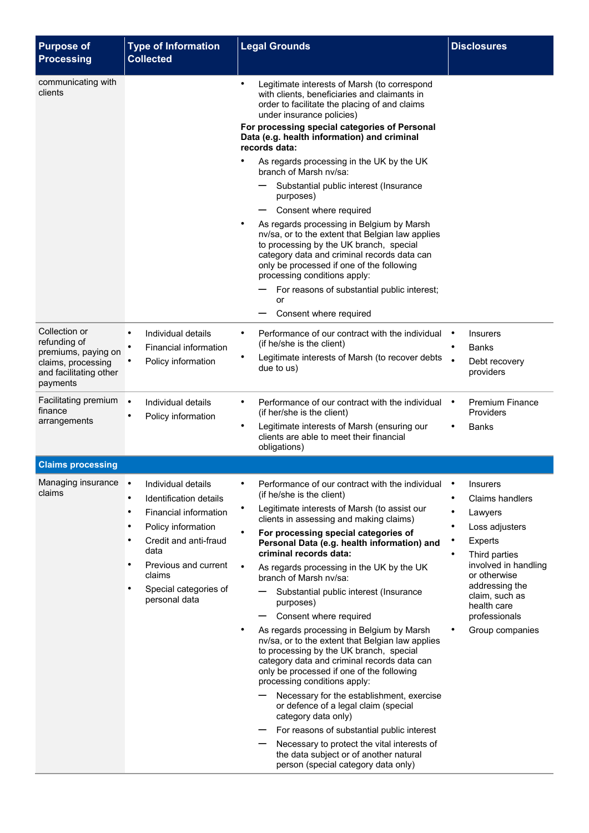| <b>Purpose of</b><br><b>Processing</b>                                                                           | <b>Type of Information</b><br><b>Collected</b>                                                                                                                                                                                                                         | <b>Legal Grounds</b>                                                                                                                                                                                                                                                                                                                                                                                                                                                                                                                                                                                                                                                                                                                                                                                                                                                                                                                                                                                                                 | <b>Disclosures</b>                                                                                                                                                                                                                |
|------------------------------------------------------------------------------------------------------------------|------------------------------------------------------------------------------------------------------------------------------------------------------------------------------------------------------------------------------------------------------------------------|--------------------------------------------------------------------------------------------------------------------------------------------------------------------------------------------------------------------------------------------------------------------------------------------------------------------------------------------------------------------------------------------------------------------------------------------------------------------------------------------------------------------------------------------------------------------------------------------------------------------------------------------------------------------------------------------------------------------------------------------------------------------------------------------------------------------------------------------------------------------------------------------------------------------------------------------------------------------------------------------------------------------------------------|-----------------------------------------------------------------------------------------------------------------------------------------------------------------------------------------------------------------------------------|
| communicating with<br>clients                                                                                    |                                                                                                                                                                                                                                                                        | $\bullet$<br>Legitimate interests of Marsh (to correspond<br>with clients, beneficiaries and claimants in<br>order to facilitate the placing of and claims<br>under insurance policies)<br>For processing special categories of Personal<br>Data (e.g. health information) and criminal                                                                                                                                                                                                                                                                                                                                                                                                                                                                                                                                                                                                                                                                                                                                              |                                                                                                                                                                                                                                   |
|                                                                                                                  |                                                                                                                                                                                                                                                                        | records data:<br>٠<br>As regards processing in the UK by the UK<br>branch of Marsh nv/sa:<br>Substantial public interest (Insurance<br>purposes)<br>Consent where required<br>As regards processing in Belgium by Marsh                                                                                                                                                                                                                                                                                                                                                                                                                                                                                                                                                                                                                                                                                                                                                                                                              |                                                                                                                                                                                                                                   |
|                                                                                                                  |                                                                                                                                                                                                                                                                        | nv/sa, or to the extent that Belgian law applies<br>to processing by the UK branch, special<br>category data and criminal records data can<br>only be processed if one of the following<br>processing conditions apply:<br>For reasons of substantial public interest;<br>or<br>Consent where required                                                                                                                                                                                                                                                                                                                                                                                                                                                                                                                                                                                                                                                                                                                               |                                                                                                                                                                                                                                   |
| Collection or<br>refunding of<br>premiums, paying on<br>claims, processing<br>and facilitating other<br>payments | Individual details<br>٠<br>Financial information<br>Policy information                                                                                                                                                                                                 | Performance of our contract with the individual<br>$\bullet$<br>(if he/she is the client)<br>Legitimate interests of Marsh (to recover debts<br>due to us)                                                                                                                                                                                                                                                                                                                                                                                                                                                                                                                                                                                                                                                                                                                                                                                                                                                                           | <b>Insurers</b><br>$\bullet$<br>Banks<br>Debt recovery<br>providers                                                                                                                                                               |
| Facilitating premium<br>finance<br>arrangements                                                                  | $\bullet$<br>Individual details<br>Policy information                                                                                                                                                                                                                  | Performance of our contract with the individual<br>(if her/she is the client)<br>Legitimate interests of Marsh (ensuring our<br>$\bullet$<br>clients are able to meet their financial<br>obligations)                                                                                                                                                                                                                                                                                                                                                                                                                                                                                                                                                                                                                                                                                                                                                                                                                                | <b>Premium Finance</b><br>Providers<br><b>Banks</b>                                                                                                                                                                               |
| <b>Claims processing</b>                                                                                         |                                                                                                                                                                                                                                                                        |                                                                                                                                                                                                                                                                                                                                                                                                                                                                                                                                                                                                                                                                                                                                                                                                                                                                                                                                                                                                                                      |                                                                                                                                                                                                                                   |
| Managing insurance<br>claims                                                                                     | Individual details<br>Identification details<br>$\bullet$<br>Financial information<br>$\bullet$<br>Policy information<br>٠<br>Credit and anti-fraud<br>$\bullet$<br>data<br>Previous and current<br>٠<br>claims<br>Special categories of<br>$\bullet$<br>personal data | Performance of our contract with the individual<br>(if he/she is the client)<br>Legitimate interests of Marsh (to assist our<br>clients in assessing and making claims)<br>For processing special categories of<br>Personal Data (e.g. health information) and<br>criminal records data:<br>As regards processing in the UK by the UK<br>branch of Marsh nv/sa:<br>Substantial public interest (Insurance<br>purposes)<br>Consent where required<br>—<br>$\bullet$<br>As regards processing in Belgium by Marsh<br>nv/sa, or to the extent that Belgian law applies<br>to processing by the UK branch, special<br>category data and criminal records data can<br>only be processed if one of the following<br>processing conditions apply:<br>Necessary for the establishment, exercise<br>or defence of a legal claim (special<br>category data only)<br>For reasons of substantial public interest<br>Necessary to protect the vital interests of<br>the data subject or of another natural<br>person (special category data only) | <b>Insurers</b><br><b>Claims handlers</b><br>Lawyers<br>Loss adjusters<br>Experts<br>Third parties<br>involved in handling<br>or otherwise<br>addressing the<br>claim, such as<br>health care<br>professionals<br>Group companies |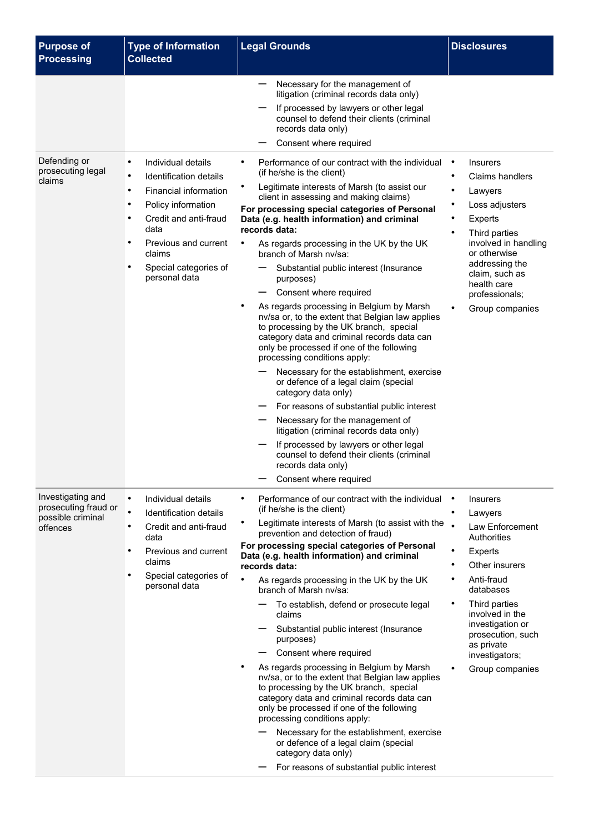| <b>Purpose of</b><br><b>Processing</b>                                     | <b>Type of Information</b><br><b>Collected</b>                                                                                                                                                                            | <b>Legal Grounds</b>                                                                                                                                                                                                                                                                                                                                                                                                                                                                                                                                                                                                                                                                                                                                                                                                                                                                                                                    | <b>Disclosures</b>                                                                                                                                                                                                                                                             |
|----------------------------------------------------------------------------|---------------------------------------------------------------------------------------------------------------------------------------------------------------------------------------------------------------------------|-----------------------------------------------------------------------------------------------------------------------------------------------------------------------------------------------------------------------------------------------------------------------------------------------------------------------------------------------------------------------------------------------------------------------------------------------------------------------------------------------------------------------------------------------------------------------------------------------------------------------------------------------------------------------------------------------------------------------------------------------------------------------------------------------------------------------------------------------------------------------------------------------------------------------------------------|--------------------------------------------------------------------------------------------------------------------------------------------------------------------------------------------------------------------------------------------------------------------------------|
| Defending or<br>prosecuting legal<br>claims                                | Individual details<br>$\bullet$<br>Identification details<br>$\bullet$                                                                                                                                                    | Necessary for the management of<br>litigation (criminal records data only)<br>If processed by lawyers or other legal<br>counsel to defend their clients (criminal<br>records data only)<br>Consent where required<br>Performance of our contract with the individual<br>$\bullet$<br>(if he/she is the client)<br>Legitimate interests of Marsh (to assist our                                                                                                                                                                                                                                                                                                                                                                                                                                                                                                                                                                          | <b>Insurers</b><br>$\bullet$<br><b>Claims handlers</b>                                                                                                                                                                                                                         |
|                                                                            | Financial information<br>$\bullet$<br>Policy information<br>$\bullet$<br>Credit and anti-fraud<br>$\bullet$<br>data<br>$\bullet$<br>Previous and current<br>claims<br>$\bullet$<br>Special categories of<br>personal data | client in assessing and making claims)<br>For processing special categories of Personal<br>Data (e.g. health information) and criminal<br>records data:<br>As regards processing in the UK by the UK<br>branch of Marsh ny/sa:<br>Substantial public interest (Insurance<br>purposes)<br>Consent where required<br>As regards processing in Belgium by Marsh<br>nv/sa or, to the extent that Belgian law applies<br>to processing by the UK branch, special<br>category data and criminal records data can<br>only be processed if one of the following<br>processing conditions apply:<br>Necessary for the establishment, exercise<br>or defence of a legal claim (special<br>category data only)<br>For reasons of substantial public interest                                                                                                                                                                                       | ٠<br>Lawyers<br>Loss adjusters<br>Experts<br>Third parties<br>involved in handling<br>or otherwise<br>addressing the<br>claim, such as<br>health care<br>professionals;<br>Group companies<br>$\bullet$                                                                        |
|                                                                            |                                                                                                                                                                                                                           | Necessary for the management of<br>litigation (criminal records data only)<br>If processed by lawyers or other legal<br>counsel to defend their clients (criminal<br>records data only)<br>Consent where required                                                                                                                                                                                                                                                                                                                                                                                                                                                                                                                                                                                                                                                                                                                       |                                                                                                                                                                                                                                                                                |
| Investigating and<br>prosecuting fraud or<br>possible criminal<br>offences | $\bullet$<br>Individual details<br>$\bullet$<br>Identification details<br>Credit and anti-fraud<br>٠<br>data<br>Previous and current<br>$\bullet$<br>claims<br>Special categories of<br>$\bullet$<br>personal data        | Performance of our contract with the individual<br>(if he/she is the client)<br>Legitimate interests of Marsh (to assist with the<br>prevention and detection of fraud)<br>For processing special categories of Personal<br>Data (e.g. health information) and criminal<br>records data:<br>As regards processing in the UK by the UK<br>branch of Marsh ny/sa:<br>To establish, defend or prosecute legal<br>claims<br>Substantial public interest (Insurance<br>purposes)<br>Consent where required<br>As regards processing in Belgium by Marsh<br>nv/sa, or to the extent that Belgian law applies<br>to processing by the UK branch, special<br>category data and criminal records data can<br>only be processed if one of the following<br>processing conditions apply:<br>Necessary for the establishment, exercise<br>or defence of a legal claim (special<br>category data only)<br>For reasons of substantial public interest | <b>Insurers</b><br>$\bullet$<br>Lawyers<br>$\bullet$<br>Law Enforcement<br>Authorities<br>Experts<br>Other insurers<br>Anti-fraud<br>databases<br>Third parties<br>involved in the<br>investigation or<br>prosecution, such<br>as private<br>investigators;<br>Group companies |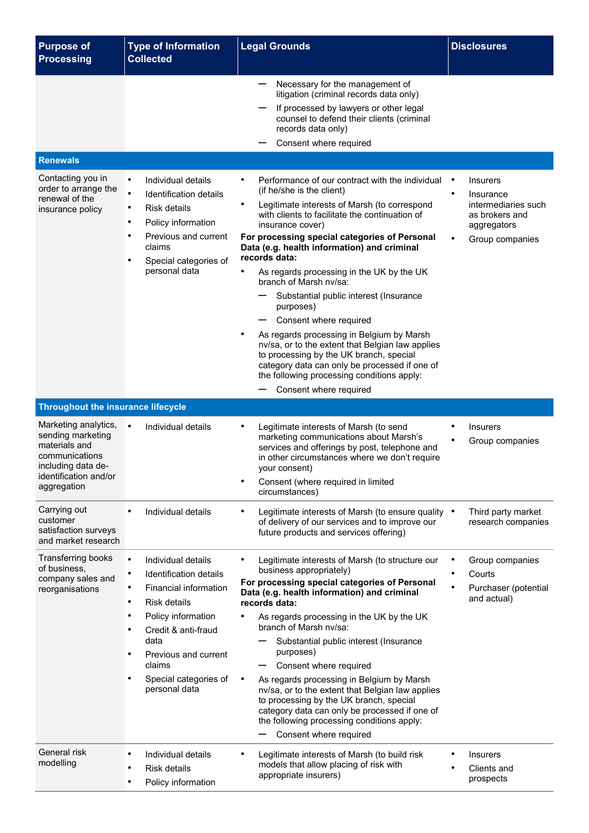| <b>Purpose of</b><br><b>Processing</b>                                                                                                     | <b>Type of Information</b><br><b>Collected</b>                                                                                                                                                                                                   | <b>Legal Grounds</b>                                                                                                                                                                                                                                                                                                                                                                                                                                                                                                                                                                                                                                                                                                                             | <b>Disclosures</b>                                                                                                   |
|--------------------------------------------------------------------------------------------------------------------------------------------|--------------------------------------------------------------------------------------------------------------------------------------------------------------------------------------------------------------------------------------------------|--------------------------------------------------------------------------------------------------------------------------------------------------------------------------------------------------------------------------------------------------------------------------------------------------------------------------------------------------------------------------------------------------------------------------------------------------------------------------------------------------------------------------------------------------------------------------------------------------------------------------------------------------------------------------------------------------------------------------------------------------|----------------------------------------------------------------------------------------------------------------------|
|                                                                                                                                            |                                                                                                                                                                                                                                                  | Necessary for the management of<br>litigation (criminal records data only)<br>If processed by lawyers or other legal<br>counsel to defend their clients (criminal<br>records data only)<br>Consent where required                                                                                                                                                                                                                                                                                                                                                                                                                                                                                                                                |                                                                                                                      |
| <b>Renewals</b>                                                                                                                            |                                                                                                                                                                                                                                                  |                                                                                                                                                                                                                                                                                                                                                                                                                                                                                                                                                                                                                                                                                                                                                  |                                                                                                                      |
| Contacting you in<br>order to arrange the<br>renewal of the<br>insurance policy                                                            | Individual details<br>$\bullet$<br>Identification details<br>$\bullet$<br><b>Risk details</b><br>Policy information<br>$\bullet$<br>Previous and current<br>$\bullet$<br>claims<br>Special categories of<br>$\bullet$<br>personal data           | Performance of our contract with the individual<br>(if he/she is the client)<br>Legitimate interests of Marsh (to correspond<br>with clients to facilitate the continuation of<br>insurance cover)<br>For processing special categories of Personal<br>Data (e.g. health information) and criminal<br>records data:<br>As regards processing in the UK by the UK<br>branch of Marsh ny/sa:<br>Substantial public interest (Insurance<br>purposes)<br>Consent where required<br>As regards processing in Belgium by Marsh<br>nv/sa, or to the extent that Belgian law applies<br>to processing by the UK branch, special<br>category data can only be processed if one of<br>the following processing conditions apply:<br>Consent where required | <b>Insurers</b><br>Insurance<br>intermediaries such<br>as brokers and<br>aggregators<br>$\bullet$<br>Group companies |
| <b>Throughout the insurance lifecycle</b>                                                                                                  |                                                                                                                                                                                                                                                  |                                                                                                                                                                                                                                                                                                                                                                                                                                                                                                                                                                                                                                                                                                                                                  |                                                                                                                      |
| Marketing analytics,<br>sending marketing<br>materials and<br>communications<br>including data de-<br>identification and/or<br>aggregation | $\bullet$<br>Individual details                                                                                                                                                                                                                  | Legitimate interests of Marsh (to send<br>marketing communications about Marsh's<br>services and offerings by post, telephone and<br>in other circumstances where we don't require<br>your consent)<br>Consent (where required in limited<br>circumstances)                                                                                                                                                                                                                                                                                                                                                                                                                                                                                      | <b>Insurers</b><br>Group companies                                                                                   |
| Carrying out<br>customer<br>satisfaction surveys<br>and market research                                                                    | Individual details                                                                                                                                                                                                                               | Legitimate interests of Marsh (to ensure quality .<br>of delivery of our services and to improve our<br>future products and services offering)                                                                                                                                                                                                                                                                                                                                                                                                                                                                                                                                                                                                   | Third party market<br>research companies                                                                             |
| Transferring books<br>of business,<br>company sales and<br>reorganisations                                                                 | $\bullet$<br>Individual details<br>Identification details<br>Financial information<br>Risk details<br>Policy information<br>$\bullet$<br>Credit & anti-fraud<br>data<br>Previous and current<br>claims<br>Special categories of<br>personal data | Legitimate interests of Marsh (to structure our<br>business appropriately)<br>For processing special categories of Personal<br>Data (e.g. health information) and criminal<br>records data:<br>As regards processing in the UK by the UK<br>branch of Marsh ny/sa:<br>Substantial public interest (Insurance<br>purposes)<br>Consent where required<br>As regards processing in Belgium by Marsh<br>nv/sa, or to the extent that Belgian law applies<br>to processing by the UK branch, special<br>category data can only be processed if one of<br>the following processing conditions apply:<br>Consent where required<br>—                                                                                                                    | Group companies<br>Courts<br>Purchaser (potential<br>and actual)                                                     |
| General risk<br>modelling                                                                                                                  | Individual details<br>٠<br><b>Risk details</b><br>$\bullet$<br>Policy information<br>$\bullet$                                                                                                                                                   | Legitimate interests of Marsh (to build risk<br>models that allow placing of risk with<br>appropriate insurers)                                                                                                                                                                                                                                                                                                                                                                                                                                                                                                                                                                                                                                  | <b>Insurers</b><br>Clients and<br>prospects                                                                          |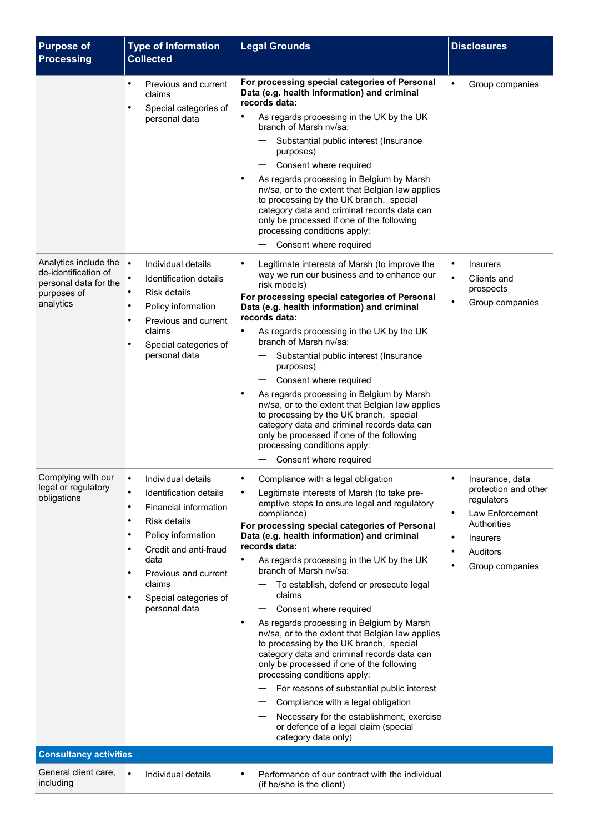| <b>Purpose of</b><br><b>Processing</b>                                                               | <b>Type of Information</b><br><b>Collected</b>                                                                                                                                                                                  | <b>Legal Grounds</b>                                                                                                                                                                                                                                                                                                                                                                                                                                                                                                                                                                                                                                                                                                                                                                                                                                                                            | <b>Disclosures</b>                                                                                                                                                  |
|------------------------------------------------------------------------------------------------------|---------------------------------------------------------------------------------------------------------------------------------------------------------------------------------------------------------------------------------|-------------------------------------------------------------------------------------------------------------------------------------------------------------------------------------------------------------------------------------------------------------------------------------------------------------------------------------------------------------------------------------------------------------------------------------------------------------------------------------------------------------------------------------------------------------------------------------------------------------------------------------------------------------------------------------------------------------------------------------------------------------------------------------------------------------------------------------------------------------------------------------------------|---------------------------------------------------------------------------------------------------------------------------------------------------------------------|
|                                                                                                      | Previous and current<br>claims<br>Special categories of<br>personal data                                                                                                                                                        | For processing special categories of Personal<br>Data (e.g. health information) and criminal<br>records data:<br>As regards processing in the UK by the UK<br>branch of Marsh ny/sa:<br>Substantial public interest (Insurance<br>purposes)<br>Consent where required<br>As regards processing in Belgium by Marsh<br>nv/sa, or to the extent that Belgian law applies<br>to processing by the UK branch, special<br>category data and criminal records data can<br>only be processed if one of the following<br>processing conditions apply:<br>Consent where required                                                                                                                                                                                                                                                                                                                         | Group companies                                                                                                                                                     |
| Analytics include the •<br>de-identification of<br>personal data for the<br>purposes of<br>analytics | Individual details<br>Identification details<br>Risk details<br>Policy information<br>Previous and current<br>claims<br>Special categories of<br>personal data                                                                  | Legitimate interests of Marsh (to improve the<br>٠<br>way we run our business and to enhance our<br>risk models)<br>For processing special categories of Personal<br>Data (e.g. health information) and criminal<br>records data:<br>٠<br>As regards processing in the UK by the UK<br>branch of Marsh ny/sa:<br>Substantial public interest (Insurance<br>purposes)<br>Consent where required<br>As regards processing in Belgium by Marsh<br>nv/sa, or to the extent that Belgian law applies<br>to processing by the UK branch, special<br>category data and criminal records data can<br>only be processed if one of the following<br>processing conditions apply:<br>Consent where required                                                                                                                                                                                                | <b>Insurers</b><br>٠<br>$\bullet$<br>Clients and<br>prospects<br>$\bullet$<br>Group companies                                                                       |
| Complying with our<br>legal or regulatory<br>obligations                                             | Individual details<br>Identification details<br>Financial information<br><b>Risk details</b><br>Policy information<br>Credit and anti-fraud<br>data<br>Previous and current<br>claims<br>Special categories of<br>personal data | Compliance with a legal obligation<br>Legitimate interests of Marsh (to take pre-<br>emptive steps to ensure legal and regulatory<br>compliance)<br>For processing special categories of Personal<br>Data (e.g. health information) and criminal<br>records data:<br>As regards processing in the UK by the UK<br>branch of Marsh nv/sa:<br>To establish, defend or prosecute legal<br>claims<br>Consent where required<br>As regards processing in Belgium by Marsh<br>nv/sa, or to the extent that Belgian law applies<br>to processing by the UK branch, special<br>category data and criminal records data can<br>only be processed if one of the following<br>processing conditions apply:<br>For reasons of substantial public interest<br>Compliance with a legal obligation<br>Necessary for the establishment, exercise<br>or defence of a legal claim (special<br>category data only) | Insurance, data<br>protection and other<br>regulators<br>$\bullet$<br>Law Enforcement<br>Authorities<br>$\bullet$<br><b>Insurers</b><br>Auditors<br>Group companies |
| <b>Consultancy activities</b>                                                                        |                                                                                                                                                                                                                                 |                                                                                                                                                                                                                                                                                                                                                                                                                                                                                                                                                                                                                                                                                                                                                                                                                                                                                                 |                                                                                                                                                                     |
| General client care,<br>including                                                                    | Individual details<br>$\bullet$                                                                                                                                                                                                 | Performance of our contract with the individual<br>(if he/she is the client)                                                                                                                                                                                                                                                                                                                                                                                                                                                                                                                                                                                                                                                                                                                                                                                                                    |                                                                                                                                                                     |